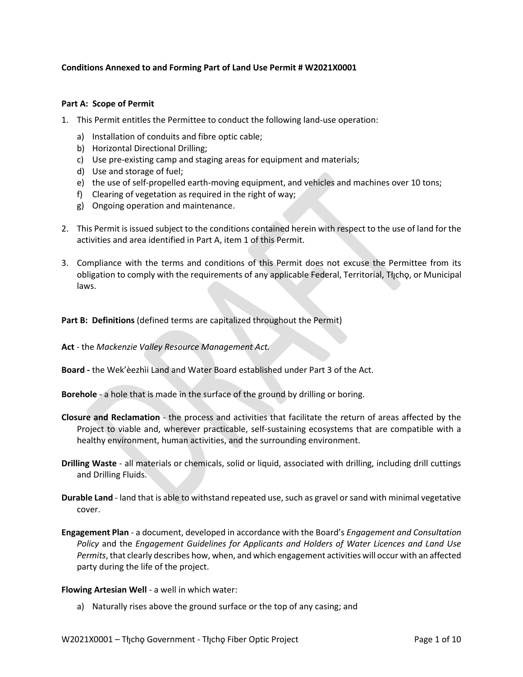## **Conditions Annexed to and Forming Part of Land Use Permit # W2021X0001**

## **Part A: Scope of Permit**

- 1. This Permit entitles the Permittee to conduct the following land-use operation:
	- a) Installation of conduits and fibre optic cable;
	- b) Horizontal Directional Drilling;
	- c) Use pre-existing camp and staging areas for equipment and materials;
	- d) Use and storage of fuel;
	- e) the use of self-propelled earth-moving equipment, and vehicles and machines over 10 tons;
	- f) Clearing of vegetation as required in the right of way;
	- g) Ongoing operation and maintenance.
- 2. This Permit is issued subject to the conditions contained herein with respect to the use of land for the activities and area identified in Part A, item 1 of this Permit.
- 3. Compliance with the terms and conditions of this Permit does not excuse the Permittee from its obligation to comply with the requirements of any applicable Federal, Territorial, Tłıcho, or Municipal laws.

## **Part B: Definitions** (defined terms are capitalized throughout the Permit)

- **Act** the *Mackenzie Valley Resource Management Act.*
- **Board -** the Wek'èezhìi Land and Water Board established under Part 3 of the Act.
- **Borehole** a hole that is made in the surface of the ground by drilling or boring.
- **Closure and Reclamation** the process and activities that facilitate the return of areas affected by the Project to viable and, wherever practicable, self-sustaining ecosystems that are compatible with a healthy environment, human activities, and the surrounding environment.
- **Drilling Waste** all materials or chemicals, solid or liquid, associated with drilling, including drill cuttings and Drilling Fluids.
- **Durable Land** land that is able to withstand repeated use, such as gravel or sand with minimal vegetative cover.
- **Engagement Plan**  a document, developed in accordance with the Board's *Engagement and Consultation Policy* and the *Engagement Guidelines for Applicants and Holders of Water Licences and Land Use Permits*, that clearly describes how, when, and which engagement activities will occur with an affected party during the life of the project.

## **Flowing Artesian Well** - a well in which water:

a) Naturally rises above the ground surface or the top of any casing; and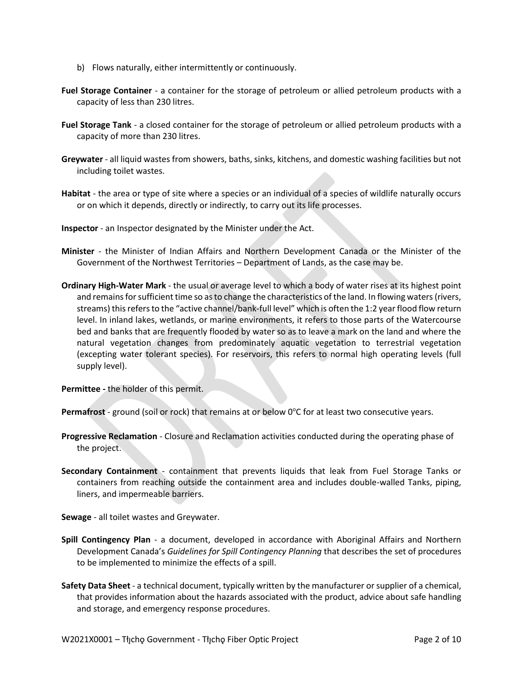- b) Flows naturally, either intermittently or continuously.
- **Fuel Storage Container** a container for the storage of petroleum or allied petroleum products with a capacity of less than 230 litres.
- **Fuel Storage Tank**  a closed container for the storage of petroleum or allied petroleum products with a capacity of more than 230 litres.
- **Greywater** all liquid wastes from showers, baths, sinks, kitchens, and domestic washing facilities but not including toilet wastes.
- **Habitat** the area or type of site where a species or an individual of a species of wildlife naturally occurs or on which it depends, directly or indirectly, to carry out its life processes.
- **Inspector**  an Inspector designated by the Minister under the Act.
- **Minister** the Minister of Indian Affairs and Northern Development Canada or the Minister of the Government of the Northwest Territories – Department of Lands, as the case may be.
- **Ordinary High-Water Mark**  the usual or average level to which a body of water rises at its highest point and remains for sufficient time so as to change the characteristics of the land. In flowing waters (rivers, streams) this refers to the "active channel/bank-full level" which is often the 1:2 year flood flow return level. In inland lakes, wetlands, or marine environments, it refers to those parts of the Watercourse bed and banks that are frequently flooded by water so as to leave a mark on the land and where the natural vegetation changes from predominately aquatic vegetation to terrestrial vegetation (excepting water tolerant species). For reservoirs, this refers to normal high operating levels (full supply level).
- **Permittee -** the holder of this permit.

Permafrost - ground (soil or rock) that remains at or below 0°C for at least two consecutive years.

- **Progressive Reclamation**  Closure and Reclamation activities conducted during the operating phase of the project.
- **Secondary Containment** containment that prevents liquids that leak from Fuel Storage Tanks or containers from reaching outside the containment area and includes double-walled Tanks, piping, liners, and impermeable barriers.

**Sewage** - all toilet wastes and Greywater.

- **Spill Contingency Plan** a document, developed in accordance with Aboriginal Affairs and Northern Development Canada's *Guidelines for Spill Contingency Planning* that describes the set of procedures to be implemented to minimize the effects of a spill.
- **Safety Data Sheet**  a technical document, typically written by the manufacturer or supplier of a chemical, that provides information about the hazards associated with the product, advice about safe handling and storage, and emergency response procedures.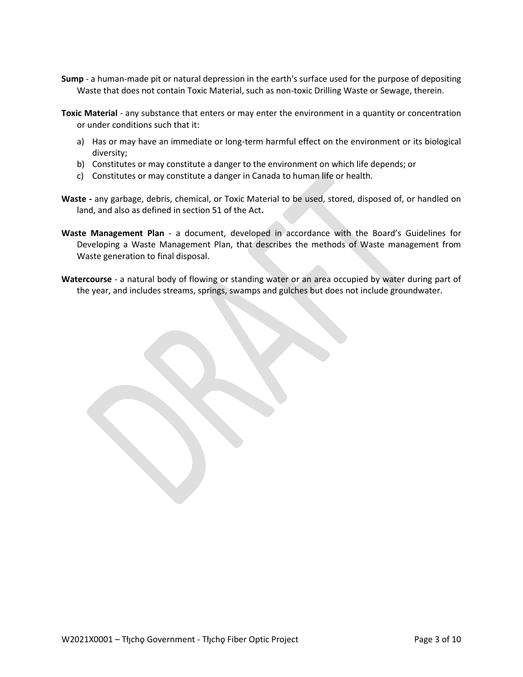- **Sump** a human-made pit or natural depression in the earth's surface used for the purpose of depositing Waste that does not contain Toxic Material, such as non-toxic Drilling Waste or Sewage, therein.
- **Toxic Material** any substance that enters or may enter the environment in a quantity or concentration or under conditions such that it:
	- a) Has or may have an immediate or long-term harmful effect on the environment or its biological diversity;
	- b) Constitutes or may constitute a danger to the environment on which life depends; or
	- c) Constitutes or may constitute a danger in Canada to human life or health.
- **Waste -** any garbage, debris, chemical, or Toxic Material to be used, stored, disposed of, or handled on land, and also as defined in section 51 of the Act**.**
- **Waste Management Plan** a document, developed in accordance with the Board's Guidelines for Developing a Waste Management Plan, that describes the methods of Waste management from Waste generation to final disposal.
- **Watercourse** a natural body of flowing or standing water or an area occupied by water during part of the year, and includes streams, springs, swamps and gulches but does not include groundwater.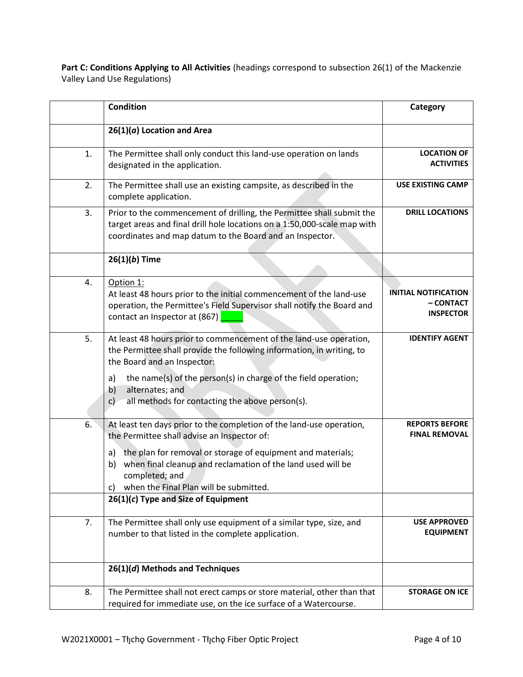Part C: Conditions Applying to All Activities (headings correspond to subsection 26(1) of the Mackenzie Valley Land Use Regulations)

|    | <b>Condition</b>                                                                                                                                                                                                                                                                                                                                                       | Category                                                     |
|----|------------------------------------------------------------------------------------------------------------------------------------------------------------------------------------------------------------------------------------------------------------------------------------------------------------------------------------------------------------------------|--------------------------------------------------------------|
|    | $26(1)(a)$ Location and Area                                                                                                                                                                                                                                                                                                                                           |                                                              |
| 1. | The Permittee shall only conduct this land-use operation on lands<br>designated in the application.                                                                                                                                                                                                                                                                    | <b>LOCATION OF</b><br><b>ACTIVITIES</b>                      |
| 2. | The Permittee shall use an existing campsite, as described in the<br>complete application.                                                                                                                                                                                                                                                                             | <b>USE EXISTING CAMP</b>                                     |
| 3. | Prior to the commencement of drilling, the Permittee shall submit the<br>target areas and final drill hole locations on a 1:50,000-scale map with<br>coordinates and map datum to the Board and an Inspector.                                                                                                                                                          | <b>DRILL LOCATIONS</b>                                       |
|    | $26(1)(b)$ Time                                                                                                                                                                                                                                                                                                                                                        |                                                              |
| 4. | Option 1:<br>At least 48 hours prior to the initial commencement of the land-use<br>operation, the Permittee's Field Supervisor shall notify the Board and<br>contact an Inspector at (867)                                                                                                                                                                            | <b>INITIAL NOTIFICATION</b><br>– CONTACT<br><b>INSPECTOR</b> |
| 5. | At least 48 hours prior to commencement of the land-use operation,<br>the Permittee shall provide the following information, in writing, to<br>the Board and an Inspector:<br>the name(s) of the person(s) in charge of the field operation;<br>a)<br>alternates; and<br>b)<br>all methods for contacting the above person(s).<br>c)                                   | <b>IDENTIFY AGENT</b>                                        |
| 6. | At least ten days prior to the completion of the land-use operation,<br>the Permittee shall advise an Inspector of:<br>the plan for removal or storage of equipment and materials;<br>a)<br>when final cleanup and reclamation of the land used will be<br>b)<br>completed; and<br>when the Final Plan will be submitted.<br>C)<br>26(1)(c) Type and Size of Equipment | <b>REPORTS BEFORE</b><br><b>FINAL REMOVAL</b>                |
| 7. | The Permittee shall only use equipment of a similar type, size, and<br>number to that listed in the complete application.                                                                                                                                                                                                                                              | <b>USE APPROVED</b><br><b>EQUIPMENT</b>                      |
|    | 26(1)(d) Methods and Techniques                                                                                                                                                                                                                                                                                                                                        |                                                              |
| 8. | The Permittee shall not erect camps or store material, other than that<br>required for immediate use, on the ice surface of a Watercourse.                                                                                                                                                                                                                             | <b>STORAGE ON ICE</b>                                        |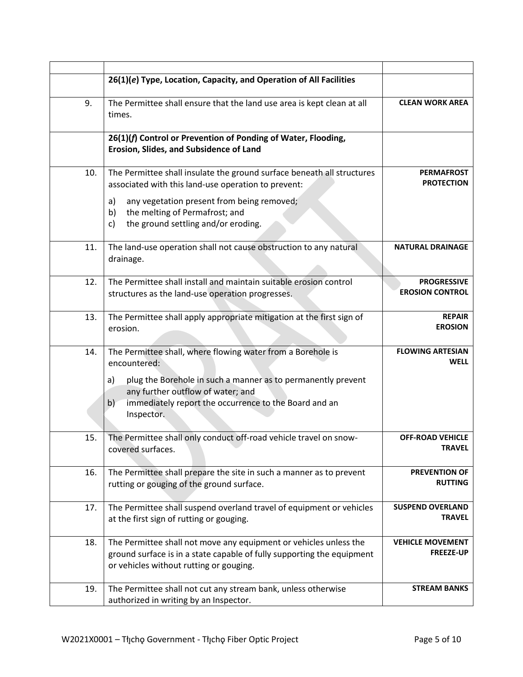|     | 26(1)(e) Type, Location, Capacity, and Operation of All Facilities                                                                                                                     |                                              |
|-----|----------------------------------------------------------------------------------------------------------------------------------------------------------------------------------------|----------------------------------------------|
| 9.  | The Permittee shall ensure that the land use area is kept clean at all<br>times.                                                                                                       | <b>CLEAN WORK AREA</b>                       |
|     | 26(1)(f) Control or Prevention of Ponding of Water, Flooding,<br>Erosion, Slides, and Subsidence of Land                                                                               |                                              |
| 10. | The Permittee shall insulate the ground surface beneath all structures<br>associated with this land-use operation to prevent:                                                          | <b>PERMAFROST</b><br><b>PROTECTION</b>       |
|     | any vegetation present from being removed;<br>a)<br>the melting of Permafrost; and<br>b)<br>the ground settling and/or eroding.<br>c)                                                  |                                              |
| 11. | The land-use operation shall not cause obstruction to any natural<br>drainage.                                                                                                         | <b>NATURAL DRAINAGE</b>                      |
| 12. | The Permittee shall install and maintain suitable erosion control<br>structures as the land-use operation progresses.                                                                  | <b>PROGRESSIVE</b><br><b>EROSION CONTROL</b> |
| 13. | The Permittee shall apply appropriate mitigation at the first sign of<br>erosion.                                                                                                      | <b>REPAIR</b><br><b>EROSION</b>              |
| 14. | The Permittee shall, where flowing water from a Borehole is<br>encountered:<br>plug the Borehole in such a manner as to permanently prevent<br>a)<br>any further outflow of water; and | <b>FLOWING ARTESIAN</b><br><b>WELL</b>       |
|     | immediately report the occurrence to the Board and an<br>b)<br>Inspector.                                                                                                              |                                              |
| 15. | The Permittee shall only conduct off-road vehicle travel on snow-<br>covered surfaces.                                                                                                 | <b>OFF-ROAD VEHICLE</b><br>TRAVEL            |
| 16. | The Permittee shall prepare the site in such a manner as to prevent<br>rutting or gouging of the ground surface.                                                                       | <b>PREVENTION OF</b><br><b>RUTTING</b>       |
| 17. | The Permittee shall suspend overland travel of equipment or vehicles<br>at the first sign of rutting or gouging.                                                                       | <b>SUSPEND OVERLAND</b><br><b>TRAVEL</b>     |
| 18. | The Permittee shall not move any equipment or vehicles unless the<br>ground surface is in a state capable of fully supporting the equipment<br>or vehicles without rutting or gouging. | <b>VEHICLE MOVEMENT</b><br><b>FREEZE-UP</b>  |
| 19. | The Permittee shall not cut any stream bank, unless otherwise<br>authorized in writing by an Inspector.                                                                                | <b>STREAM BANKS</b>                          |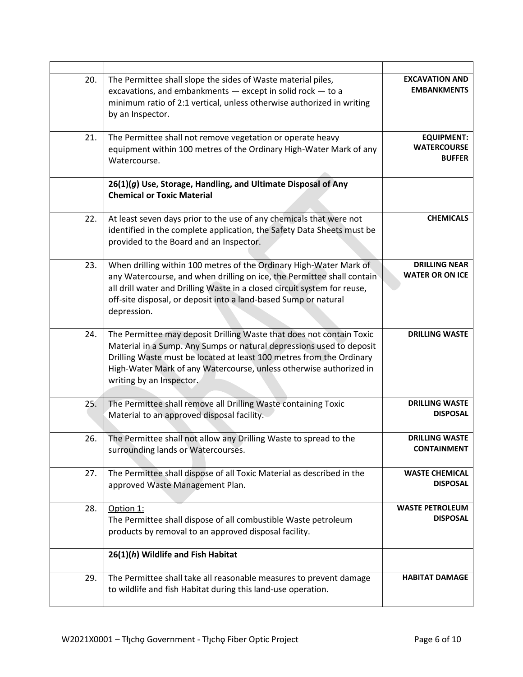| 20. | The Permittee shall slope the sides of Waste material piles,<br>excavations, and embankments $-$ except in solid rock $-$ to a<br>minimum ratio of 2:1 vertical, unless otherwise authorized in writing<br>by an Inspector.                                                                                            | <b>EXCAVATION AND</b><br><b>EMBANKMENTS</b>              |
|-----|------------------------------------------------------------------------------------------------------------------------------------------------------------------------------------------------------------------------------------------------------------------------------------------------------------------------|----------------------------------------------------------|
| 21. | The Permittee shall not remove vegetation or operate heavy<br>equipment within 100 metres of the Ordinary High-Water Mark of any<br>Watercourse.                                                                                                                                                                       | <b>EQUIPMENT:</b><br><b>WATERCOURSE</b><br><b>BUFFER</b> |
|     | 26(1)(g) Use, Storage, Handling, and Ultimate Disposal of Any<br><b>Chemical or Toxic Material</b>                                                                                                                                                                                                                     |                                                          |
| 22. | At least seven days prior to the use of any chemicals that were not<br>identified in the complete application, the Safety Data Sheets must be<br>provided to the Board and an Inspector.                                                                                                                               | <b>CHEMICALS</b>                                         |
| 23. | When drilling within 100 metres of the Ordinary High-Water Mark of<br>any Watercourse, and when drilling on ice, the Permittee shall contain<br>all drill water and Drilling Waste in a closed circuit system for reuse,<br>off-site disposal, or deposit into a land-based Sump or natural<br>depression.             | <b>DRILLING NEAR</b><br><b>WATER OR ON ICE</b>           |
| 24. | The Permittee may deposit Drilling Waste that does not contain Toxic<br>Material in a Sump. Any Sumps or natural depressions used to deposit<br>Drilling Waste must be located at least 100 metres from the Ordinary<br>High-Water Mark of any Watercourse, unless otherwise authorized in<br>writing by an Inspector. | <b>DRILLING WASTE</b>                                    |
| 25. | The Permittee shall remove all Drilling Waste containing Toxic<br>Material to an approved disposal facility.                                                                                                                                                                                                           | <b>DRILLING WASTE</b><br><b>DISPOSAL</b>                 |
| 26. | The Permittee shall not allow any Drilling Waste to spread to the<br>surrounding lands or Watercourses.                                                                                                                                                                                                                | <b>DRILLING WASTE</b><br><b>CONTAINMENT</b>              |
| 27. | The Permittee shall dispose of all Toxic Material as described in the<br>approved Waste Management Plan.                                                                                                                                                                                                               | <b>WASTE CHEMICAL</b><br><b>DISPOSAL</b>                 |
| 28. | Option 1:<br>The Permittee shall dispose of all combustible Waste petroleum<br>products by removal to an approved disposal facility.                                                                                                                                                                                   | <b>WASTE PETROLEUM</b><br><b>DISPOSAL</b>                |
|     | 26(1)(h) Wildlife and Fish Habitat                                                                                                                                                                                                                                                                                     |                                                          |
| 29. | The Permittee shall take all reasonable measures to prevent damage<br>to wildlife and fish Habitat during this land-use operation.                                                                                                                                                                                     | <b>HABITAT DAMAGE</b>                                    |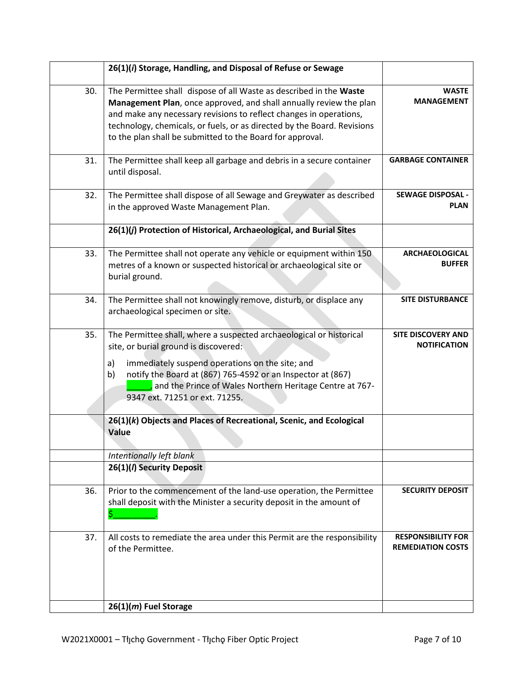|     | 26(1)(i) Storage, Handling, and Disposal of Refuse or Sewage                                                                                                                                                                                                                                                                                           |                                                       |
|-----|--------------------------------------------------------------------------------------------------------------------------------------------------------------------------------------------------------------------------------------------------------------------------------------------------------------------------------------------------------|-------------------------------------------------------|
| 30. | The Permittee shall dispose of all Waste as described in the Waste<br>Management Plan, once approved, and shall annually review the plan<br>and make any necessary revisions to reflect changes in operations,<br>technology, chemicals, or fuels, or as directed by the Board. Revisions<br>to the plan shall be submitted to the Board for approval. | <b>WASTE</b><br><b>MANAGEMENT</b>                     |
| 31. | The Permittee shall keep all garbage and debris in a secure container<br>until disposal.                                                                                                                                                                                                                                                               | <b>GARBAGE CONTAINER</b>                              |
| 32. | The Permittee shall dispose of all Sewage and Greywater as described<br>in the approved Waste Management Plan.                                                                                                                                                                                                                                         | <b>SEWAGE DISPOSAL -</b><br><b>PLAN</b>               |
|     | 26(1)(j) Protection of Historical, Archaeological, and Burial Sites                                                                                                                                                                                                                                                                                    |                                                       |
| 33. | The Permittee shall not operate any vehicle or equipment within 150<br>metres of a known or suspected historical or archaeological site or<br>burial ground.                                                                                                                                                                                           | <b>ARCHAEOLOGICAL</b><br><b>BUFFER</b>                |
| 34. | The Permittee shall not knowingly remove, disturb, or displace any<br>archaeological specimen or site.                                                                                                                                                                                                                                                 | <b>SITE DISTURBANCE</b>                               |
| 35. | The Permittee shall, where a suspected archaeological or historical<br>site, or burial ground is discovered:<br>immediately suspend operations on the site; and<br>a)<br>notify the Board at (867) 765-4592 or an Inspector at (867)<br>b)<br>and the Prince of Wales Northern Heritage Centre at 767-<br>9347 ext. 71251 or ext. 71255.               | <b>SITE DISCOVERY AND</b><br><b>NOTIFICATION</b>      |
|     | 26(1)(k) Objects and Places of Recreational, Scenic, and Ecological<br>Value                                                                                                                                                                                                                                                                           |                                                       |
|     | Intentionally left blank<br>26(1)(/) Security Deposit                                                                                                                                                                                                                                                                                                  |                                                       |
|     |                                                                                                                                                                                                                                                                                                                                                        |                                                       |
| 36. | Prior to the commencement of the land-use operation, the Permittee<br>shall deposit with the Minister a security deposit in the amount of<br>\$.                                                                                                                                                                                                       | <b>SECURITY DEPOSIT</b>                               |
| 37. | All costs to remediate the area under this Permit are the responsibility<br>of the Permittee.                                                                                                                                                                                                                                                          | <b>RESPONSIBILITY FOR</b><br><b>REMEDIATION COSTS</b> |
|     | 26(1)(m) Fuel Storage                                                                                                                                                                                                                                                                                                                                  |                                                       |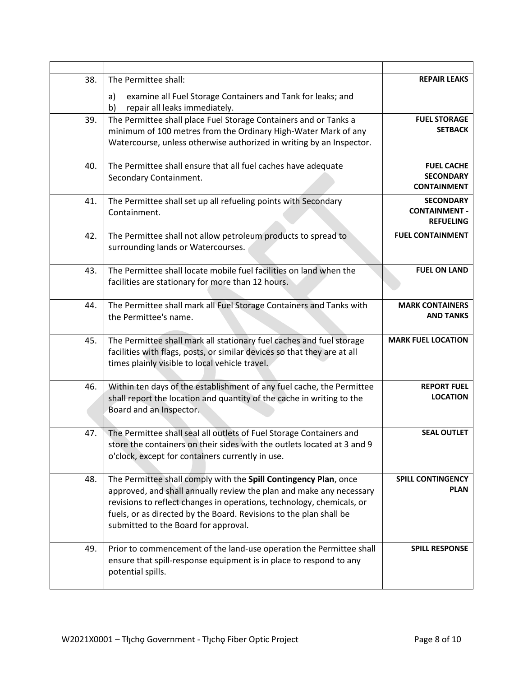| 38. | The Permittee shall:                                                                                                                        | <b>REPAIR LEAKS</b>                    |
|-----|---------------------------------------------------------------------------------------------------------------------------------------------|----------------------------------------|
|     | examine all Fuel Storage Containers and Tank for leaks; and<br>a)<br>repair all leaks immediately.<br>b)                                    |                                        |
| 39. | The Permittee shall place Fuel Storage Containers and or Tanks a                                                                            | <b>FUEL STORAGE</b>                    |
|     | minimum of 100 metres from the Ordinary High-Water Mark of any                                                                              | <b>SETBACK</b>                         |
|     | Watercourse, unless otherwise authorized in writing by an Inspector.                                                                        |                                        |
| 40. | The Permittee shall ensure that all fuel caches have adequate                                                                               | <b>FUEL CACHE</b>                      |
|     | Secondary Containment.                                                                                                                      | <b>SECONDARY</b><br><b>CONTAINMENT</b> |
| 41. | The Permittee shall set up all refueling points with Secondary                                                                              | <b>SECONDARY</b>                       |
|     | Containment.                                                                                                                                | <b>CONTAINMENT -</b>                   |
|     |                                                                                                                                             | <b>REFUELING</b>                       |
| 42. | The Permittee shall not allow petroleum products to spread to<br>surrounding lands or Watercourses.                                         | <b>FUEL CONTAINMENT</b>                |
|     |                                                                                                                                             |                                        |
| 43. | The Permittee shall locate mobile fuel facilities on land when the                                                                          | <b>FUEL ON LAND</b>                    |
|     | facilities are stationary for more than 12 hours.                                                                                           |                                        |
| 44. | The Permittee shall mark all Fuel Storage Containers and Tanks with                                                                         | <b>MARK CONTAINERS</b>                 |
|     | the Permittee's name.                                                                                                                       | <b>AND TANKS</b>                       |
| 45. | The Permittee shall mark all stationary fuel caches and fuel storage                                                                        | <b>MARK FUEL LOCATION</b>              |
|     | facilities with flags, posts, or similar devices so that they are at all                                                                    |                                        |
|     | times plainly visible to local vehicle travel.                                                                                              |                                        |
| 46. | Within ten days of the establishment of any fuel cache, the Permittee                                                                       | <b>REPORT FUEL</b>                     |
|     | shall report the location and quantity of the cache in writing to the                                                                       | <b>LOCATION</b>                        |
|     | Board and an Inspector.                                                                                                                     |                                        |
| 47. | The Permittee shall seal all outlets of Fuel Storage Containers and                                                                         | <b>SEAL OUTLET</b>                     |
|     | store the containers on their sides with the outlets located at 3 and 9                                                                     |                                        |
|     | o'clock, except for containers currently in use.                                                                                            |                                        |
| 48. | The Permittee shall comply with the Spill Contingency Plan, once                                                                            | <b>SPILL CONTINGENCY</b>               |
|     | approved, and shall annually review the plan and make any necessary                                                                         | <b>PLAN</b>                            |
|     | revisions to reflect changes in operations, technology, chemicals, or<br>fuels, or as directed by the Board. Revisions to the plan shall be |                                        |
|     | submitted to the Board for approval.                                                                                                        |                                        |
|     |                                                                                                                                             |                                        |
| 49. | Prior to commencement of the land-use operation the Permittee shall<br>ensure that spill-response equipment is in place to respond to any   | <b>SPILL RESPONSE</b>                  |
|     | potential spills.                                                                                                                           |                                        |
|     |                                                                                                                                             |                                        |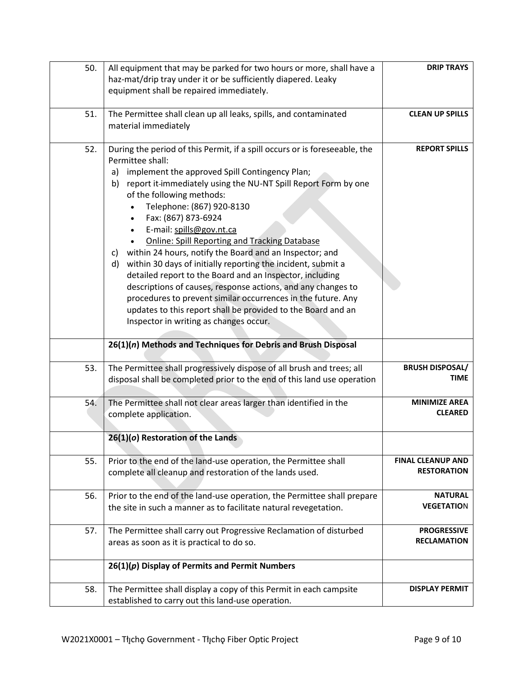| 50. | All equipment that may be parked for two hours or more, shall have a       | <b>DRIP TRAYS</b>        |
|-----|----------------------------------------------------------------------------|--------------------------|
|     | haz-mat/drip tray under it or be sufficiently diapered. Leaky              |                          |
|     | equipment shall be repaired immediately.                                   |                          |
|     |                                                                            |                          |
| 51. | The Permittee shall clean up all leaks, spills, and contaminated           | <b>CLEAN UP SPILLS</b>   |
|     | material immediately                                                       |                          |
|     |                                                                            |                          |
| 52. | During the period of this Permit, if a spill occurs or is foreseeable, the | <b>REPORT SPILLS</b>     |
|     | Permittee shall:                                                           |                          |
|     | implement the approved Spill Contingency Plan;<br>a)                       |                          |
|     | report it-immediately using the NU-NT Spill Report Form by one<br>b)       |                          |
|     | of the following methods:                                                  |                          |
|     | Telephone: (867) 920-8130                                                  |                          |
|     | Fax: (867) 873-6924                                                        |                          |
|     | E-mail: spills@gov.nt.ca                                                   |                          |
|     | <b>Online: Spill Reporting and Tracking Database</b>                       |                          |
|     | within 24 hours, notify the Board and an Inspector; and<br>C)              |                          |
|     | within 30 days of initially reporting the incident, submit a<br>d)         |                          |
|     | detailed report to the Board and an Inspector, including                   |                          |
|     | descriptions of causes, response actions, and any changes to               |                          |
|     | procedures to prevent similar occurrences in the future. Any               |                          |
|     | updates to this report shall be provided to the Board and an               |                          |
|     | Inspector in writing as changes occur.                                     |                          |
|     |                                                                            |                          |
|     | 26(1)(n) Methods and Techniques for Debris and Brush Disposal              |                          |
| 53. | The Permittee shall progressively dispose of all brush and trees; all      | <b>BRUSH DISPOSAL/</b>   |
|     | disposal shall be completed prior to the end of this land use operation    | TIME                     |
|     |                                                                            |                          |
| 54. | The Permittee shall not clear areas larger than identified in the          | <b>MINIMIZE AREA</b>     |
|     | complete application.                                                      | <b>CLEARED</b>           |
|     |                                                                            |                          |
|     | 26(1)(o) Restoration of the Lands                                          |                          |
|     |                                                                            |                          |
| 55. | Prior to the end of the land-use operation, the Permittee shall            | <b>FINAL CLEANUP AND</b> |
|     | complete all cleanup and restoration of the lands used.                    | <b>RESTORATION</b>       |
|     |                                                                            |                          |
| 56. | Prior to the end of the land-use operation, the Permittee shall prepare    | <b>NATURAL</b>           |
|     | the site in such a manner as to facilitate natural revegetation.           | <b>VEGETATION</b>        |
|     |                                                                            |                          |
| 57. | The Permittee shall carry out Progressive Reclamation of disturbed         | <b>PROGRESSIVE</b>       |
|     | areas as soon as it is practical to do so.                                 | <b>RECLAMATION</b>       |
|     | $26(1)(p)$ Display of Permits and Permit Numbers                           |                          |
|     |                                                                            |                          |
| 58. | The Permittee shall display a copy of this Permit in each campsite         | <b>DISPLAY PERMIT</b>    |
|     | established to carry out this land-use operation.                          |                          |